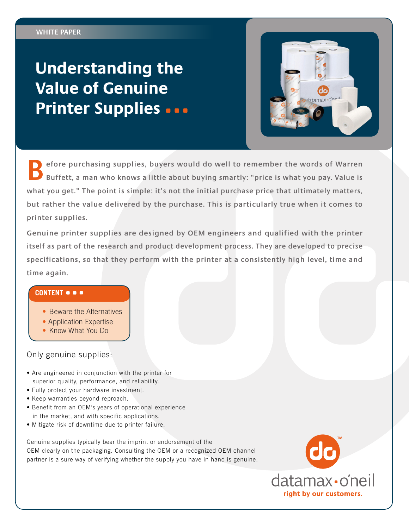# **Understanding the Value of Genuine Printer Supplies**



**Before purchasing supplies, buyers would do well to remember the words of Warren Buffett, a man who knows a little about buying smartly: "price is what you pay. Value is what you get." The point is simple: it's not the initial purchase price that ultimately matters, but rather the value delivered by the purchase. This is particularly true when it comes to printer supplies.**

**Genuine printer supplies are designed by OEM engineers and qualified with the printer itself as part of the research and product development process. They are developed to precise specifications, so that they perform with the printer at a consistently high level, time and time again.**

#### **CONTENT**

- Beware the Alternatives
- Application Expertise
- Know What You Do

## Only genuine supplies:

- Are engineered in conjunction with the printer for superior quality, performance, and reliability.
- Fully protect your hardware investment.
- Keep warranties beyond reproach.
- Benefit from an OEM's years of operational experience in the market, and with specific applications.
- Mitigate risk of downtime due to printer failure.

Genuine supplies typically bear the imprint or endorsement of the OEM clearly on the packaging. Consulting the OEM or a recognized OEM channel partner is a sure way of verifying whether the supply you have in hand is genuine.

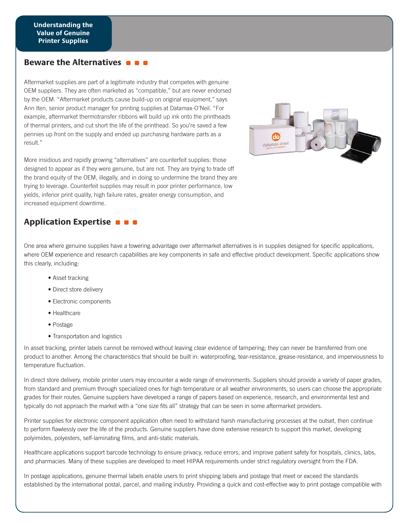### **Beware the Alternatives**

Aftermarket supplies are part of a legitimate industry that competes with genuine OEM suppliers. They are often marketed as "compatible," but are never endorsed by the OEM. "Aftermarket products cause build-up on original equipment," says Ann Iten, senior product manager for printing supplies at Datamax-O'Neil. "For example, aftermarket thermotransfer ribbons will build up ink onto the printheads of thermal printers, and cut short the life of the printhead. So you're saved a few pennies up front on the supply and ended up purchasing hardware parts as a result."

More insidious and rapidly growing "alternatives" are counterfeit supplies: those designed to appear as if they were genuine, but are not. They are trying to trade off the brand equity of the OEM, illegally, and in doing so undermine the brand they are trying to leverage. Counterfeit supplies may result in poor printer performance, low yields, inferior print quality, high failure rates, greater energy consumption, and increased equipment downtime.

# **Application Expertise**

One area where genuine supplies have a towering advantage over aftermarket alternatives is in supplies designed for specific applications, where OEM experience and research capabilities are key components in safe and effective product development. Specific applications show this clearly, including:

datamax.o'neil

- Asset tracking
- Direct store delivery
- Electronic components
- Healthcare
- Postage
- Transportation and logistics

In asset tracking, printer labels cannot be removed without leaving clear evidence of tampering; they can never be transferred from one product to another. Among the characteristics that should be built in: waterproofing, tear-resistance, grease-resistance, and imperviousness to temperature fluctuation.

In direct store delivery, mobile printer users may encounter a wide range of environments. Suppliers should provide a variety of paper grades, from standard and premium through specialized ones for high temperature or all weather environments, so users can choose the appropriate grades for their routes. Genuine suppliers have developed a range of papers based on experience, research, and environmental test and typically do not approach the market with a "one size fits all" strategy that can be seen in some aftermarket providers.

Printer supplies for electronic component application often need to withstand harsh manufacturing processes at the outset, then continue to perform flawlessly over the life of the products. Genuine suppliers have done extensive research to support this market, developing polyimides, polyesters, self-laminating films, and anti-static materials.

Healthcare applications support barcode technology to ensure privacy, reduce errors, and improve patient safety for hospitals, clinics, labs, and pharmacies. Many of these supplies are developed to meet HIPAA requirements under strict regulatory oversight from the FDA.

In postage applications, genuine thermal labels enable users to print shipping labels and postage that meet or exceed the standards established by the international postal, parcel, and mailing industry. Providing a quick and cost-effective way to print postage compatible with